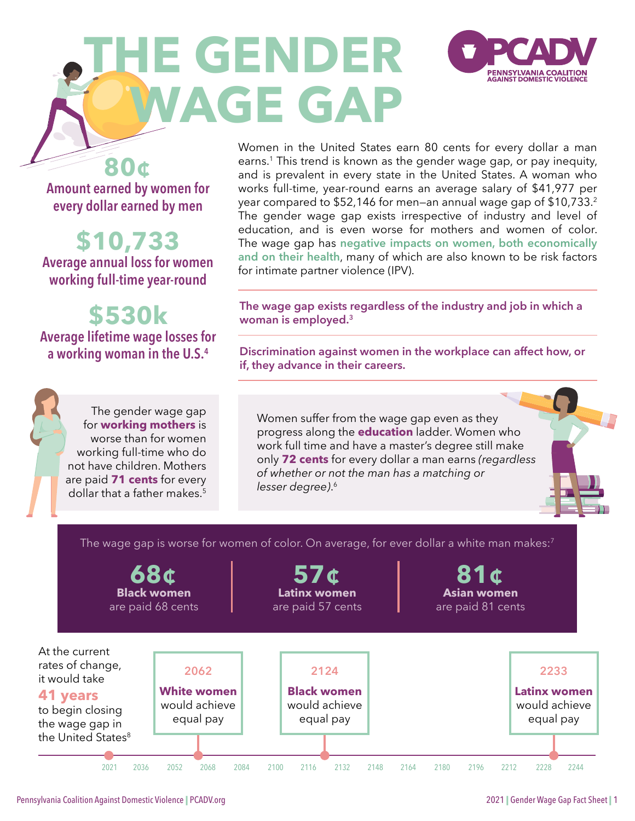# <span id="page-0-0"></span>**THE GENDER WAGE GAP**



**80¢ Amount earned by women for every dollar earned by men**

**\$10,733**

**Average annual loss for women working full-time year-round**

**\$530k Average lifetime wage losses for a working woman in the U.S.[4](#page-4-0)**

> The gender wage gap for **working mothers** is worse than for women working full-time who do not have children. Mothers are paid **71 cents** for every dollar that a father makes[.5](#page-4-0)

Women in the United States earn 80 cents for every dollar a man earns.<sup>1</sup> This trend is known as the gender wage gap, or pay inequity, and is prevalent in every state in the United States. A woman who works full-time, year-round earns an average salary of \$41,977 per year compared to \$52,146 for men—an annual wage gap of \$10,733[.2](#page-4-0) The gender wage gap exists irrespective of industry and level of education, and is even worse for mothers and women of color. The wage gap has **negative impacts on women, both economically and on their health**, many of which are also known to be risk factors for intimate partner violence (IPV).

**The wage gap exists regardless of the industry and job in which a woman is employed.[3](#page-4-0)**

**Discrimination against women in the workplace can affect how, or if, they advance in their careers.** 

Women suffer from the wage gap even as they progress along the **education** ladder. Women who work full time and have a master's degree still make only **72 cents** for every dollar a man earns *(regardless of whether or not the man has a matching or lesser degree)*. [6](#page-4-0)

The wage gap is worse for women of color. On average, for ever dollar a white man makes:<sup>[7](#page-4-0)</sup>

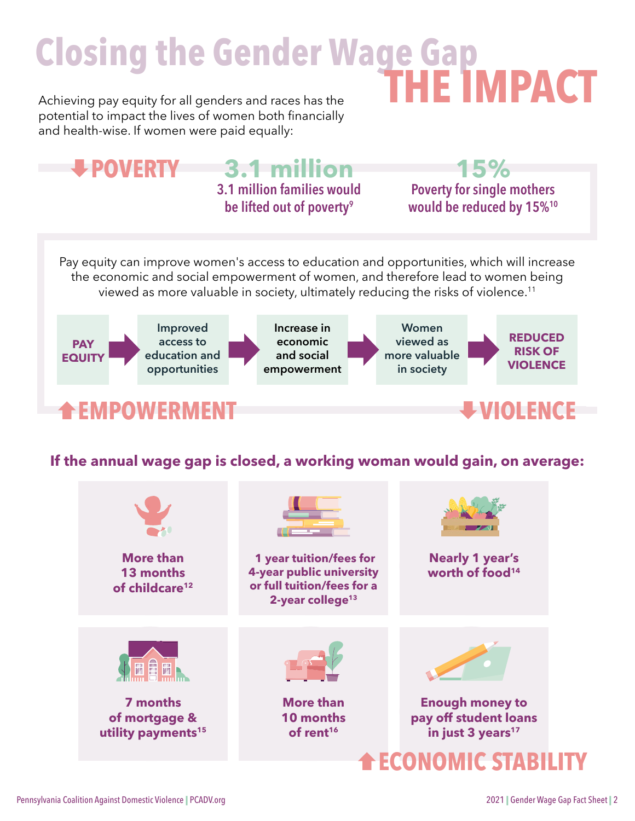## <span id="page-1-0"></span>**Closing the Gender Wage Gap** Achieving pay equity for all genders and races has the **THE IMPACT**

potential to impact the lives of women both financially and health-wise. If women were paid equally:



### **If the annual wage gap is closed, a working woman would gain, on average:**

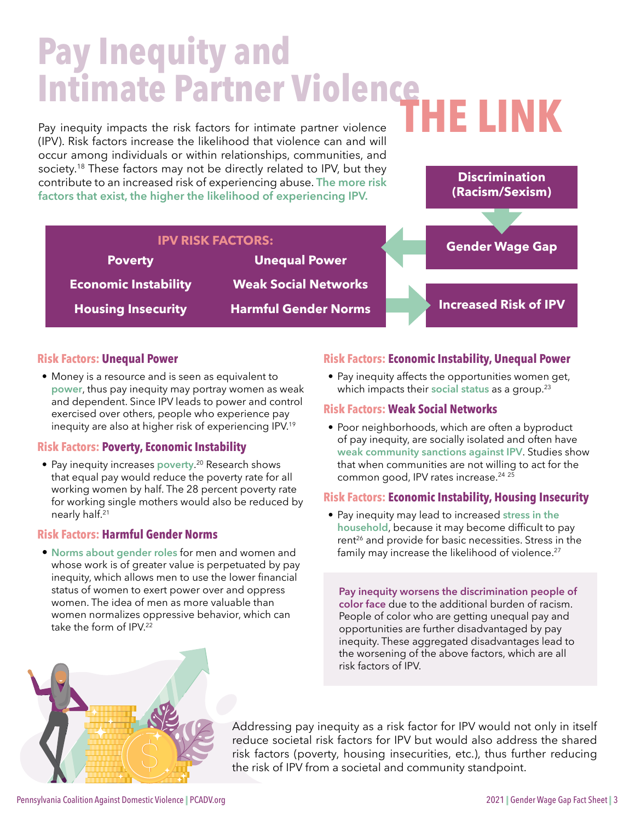## <span id="page-2-0"></span>**Pay Inequity and Intimate Partner Violence**

(IPV). Risk factors increase the likelihood that violence can and will occur among individuals or within relationships, communities, and society.<sup>18</sup> These factors may not be directly related to IPV, but they contribute to an increased risk of experiencing abuse. **The more risk factors that exist, the higher the likelihood of experiencing IPV.**

**IPV RISK FACTORS:**

# Pay inequity impacts the risk factors for intimate partner violence **THE LINK**<br>(IPM) Pick factors increase the likelihood that violence can and will



#### **Risk Factors: Unequal Power**

**Poverty**

**Economic Instability** 

**Housing Insecurity**

• Money is a resource and is seen as equivalent to **power**, thus pay inequity may portray women as weak and dependent. Since IPV leads to power and control exercised over others, people who experience pay inequity are also at higher risk of experiencing IPV[.19](#page-5-0)

#### **Risk Factors: Poverty, Economic Instability**

• Pay inequity increases **poverty**. [20](#page-5-0) Research shows that equal pay would reduce the poverty rate for all working women by half. The 28 percent poverty rate for working single mothers would also be reduced by nearly half[.21](#page-5-0) 

#### **Risk Factors: Harmful Gender Norms**

• **Norms about gender roles** for men and women and whose work is of greater value is perpetuated by pay inequity, which allows men to use the lower financial status of women to exert power over and oppress women. The idea of men as more valuable than women normalizes oppressive behavior, which can take the form of  $IPV<sup>22</sup>$  $IPV<sup>22</sup>$  $IPV<sup>22</sup>$ 

#### **Risk Factors: Economic Instability, Unequal Power**

• Pay inequity affects the opportunities women get, which impacts their **social status** as a group.[23](#page-5-0) 

#### **Risk Factors: Weak Social Networks**

• Poor neighborhoods, which are often a byproduct of pay inequity, are socially isolated and often have **weak community sanctions against IPV**. Studies show that when communities are not willing to act for the common good, IPV rates increase.<sup>24 [25](#page-5-0)</sup>

#### **Risk Factors: Economic Instability, Housing Insecurity**

• Pay inequity may lead to increased **stress in the household**, because it may become difficult to pay rent<sup>[26](#page-5-0)</sup> and provide for basic necessities. Stress in the family may increase the likelihood of violence.<sup>27</sup>

**Pay inequity worsens the discrimination people of color face** due to the additional burden of racism. People of color who are getting unequal pay and opportunities are further disadvantaged by pay inequity. These aggregated disadvantages lead to the worsening of the above factors, which are all risk factors of IPV.



Addressing pay inequity as a risk factor for IPV would not only in itself reduce societal risk factors for IPV but would also address the shared risk factors (poverty, housing insecurities, etc.), thus further reducing the risk of IPV from a societal and community standpoint.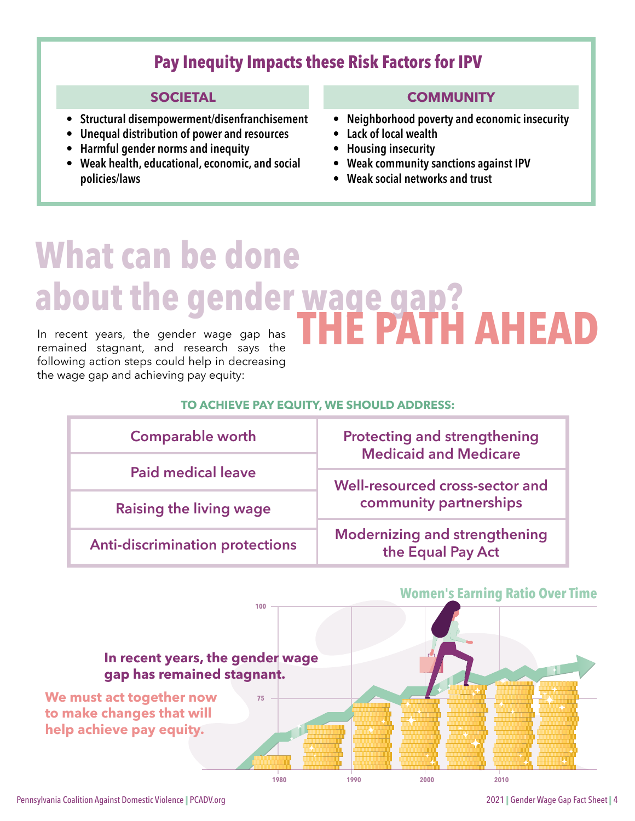### **Pay Inequity Impacts these Risk Factors for IPV**

#### **SOCIETAL**

- **• Structural disempowerment/disenfranchisement**
- **• Unequal distribution of power and resources**
- **• Harmful gender norms and inequity**
- **• Weak health, educational, economic, and social policies/laws**

#### **COMMUNITY**

- **• Neighborhood poverty and economic insecurity**
- **• Lack of local wealth**
- **• Housing insecurity**
- **• Weak community sanctions against IPV**
- **• Weak social networks and trust**

# **What can be done about the gender wage gap (ATH AHEAD**

In recent years, the gender wage gap has In recent years, the gender wage gap has<br>remained stagnant, and research says the following action steps could help in decreasing the wage gap and achieving pay equity:

#### **TO ACHIEVE PAY EQUITY, WE SHOULD ADDRESS:**

| <b>Comparable worth</b>                | <b>Protecting and strengthening</b><br><b>Medicaid and Medicare</b> |
|----------------------------------------|---------------------------------------------------------------------|
| <b>Paid medical leave</b>              | Well-resourced cross-sector and                                     |
| Raising the living wage                | community partnerships                                              |
| <b>Anti-discrimination protections</b> | <b>Modernizing and strengthening</b><br>the Equal Pay Act           |

### **1980 1990 2000 2010 100 75 Women's Earning Ratio Over Time In recent years, the gender wage gap has remained stagnant. We must act together now to make changes that will help achieve pay equity.**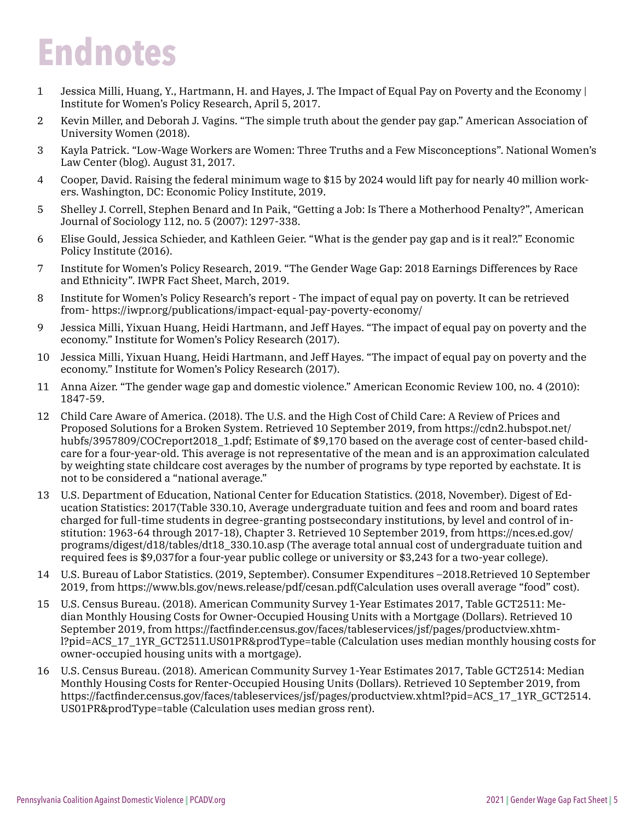## <span id="page-4-0"></span>**Endnotes**

- [1](#page-0-0) Jessica Milli, Huang, Y., Hartmann, H. and Hayes, J. The Impact of Equal Pay on Poverty and the Economy | Institute for Women's Policy Research, April 5, 2017.
- [2](#page-0-0) Kevin Miller, and Deborah J. Vagins. "The simple truth about the gender pay gap." American Association of University Women (2018).
- [3](#page-0-0) Kayla Patrick. "Low-Wage Workers are Women: Three Truths and a Few Misconceptions". National Women's Law Center (blog). August 31, 2017.
- [4](#page-0-0) Cooper, David. Raising the federal minimum wage to \$15 by 2024 would lift pay for nearly 40 million workers. Washington, DC: Economic Policy Institute, 2019.
- [5](#page-0-0) Shelley J. Correll, Stephen Benard and In Paik, "Getting a Job: Is There a Motherhood Penalty?", American Journal of Sociology 112, no. 5 (2007): 1297-338.
- [6](#page-0-0) Elise Gould, Jessica Schieder, and Kathleen Geier. "What is the gender pay gap and is it real?." Economic Policy Institute (2016).
- [7](#page-0-0) Institute for Women's Policy Research, 2019. "The Gender Wage Gap: 2018 Earnings Differences by Race and Ethnicity". IWPR Fact Sheet, March, 2019.
- [8](#page-0-0) Institute for Women's Policy Research's report The impact of equal pay on poverty. It can be retrieved from- https://iwpr.org/publications/impact-equal-pay-poverty-economy/
- [9](#page-1-0) Jessica Milli, Yixuan Huang, Heidi Hartmann, and Jeff Hayes. "The impact of equal pay on poverty and the economy." Institute for Women's Policy Research (2017).
- [10](#page-1-0) Jessica Milli, Yixuan Huang, Heidi Hartmann, and Jeff Hayes. "The impact of equal pay on poverty and the economy." Institute for Women's Policy Research (2017).
- [11](#page-1-0) Anna Aizer. "The gender wage gap and domestic violence." American Economic Review 100, no. 4 (2010): 1847-59.
- [12](#page-1-0) Child Care Aware of America. (2018). The U.S. and the High Cost of Child Care: A Review of Prices and Proposed Solutions for a Broken System. Retrieved 10 September 2019, from https://cdn2.hubspot.net/ hubfs/3957809/COCreport2018 1.pdf; Estimate of \$9,170 based on the average cost of center-based childcare for a four-year-old. This average is not representative of the mean and is an approximation calculated by weighting state childcare cost averages by the number of programs by type reported by eachstate. It is not to be considered a "national average."
- [13](#page-1-0) U.S. Department of Education, National Center for Education Statistics. (2018, November). Digest of Education Statistics: 2017(Table 330.10, Average undergraduate tuition and fees and room and board rates charged for full-time students in degree-granting postsecondary institutions, by level and control of institution: 1963-64 through 2017-18), Chapter 3. Retrieved 10 September 2019, from https://nces.ed.gov/ programs/digest/d18/tables/dt18\_330.10.asp (The average total annual cost of undergraduate tuition and required fees is \$9,037for a four-year public college or university or \$3,243 for a two-year college).
- [14](#page-1-0) U.S. Bureau of Labor Statistics. (2019, September). Consumer Expenditures –2018.Retrieved 10 September 2019, from https://www.bls.gov/news.release/pdf/cesan.pdf(Calculation uses overall average "food" cost).
- [15](#page-1-0) U.S. Census Bureau. (2018). American Community Survey 1-Year Estimates 2017, Table GCT2511: Median Monthly Housing Costs for Owner-Occupied Housing Units with a Mortgage (Dollars). Retrieved 10 September 2019, from https://factfinder.census.gov/faces/tableservices/jsf/pages/productview.xhtml?pid=ACS\_17\_1YR\_GCT2511.US01PR&prodType=table (Calculation uses median monthly housing costs for owner-occupied housing units with a mortgage).
- [16](#page-1-0) U.S. Census Bureau. (2018). American Community Survey 1-Year Estimates 2017, Table GCT2514: Median Monthly Housing Costs for Renter-Occupied Housing Units (Dollars). Retrieved 10 September 2019, from https://factfinder.census.gov/faces/tableservices/jsf/pages/productview.xhtml?pid=ACS\_17\_1YR\_GCT2514. US01PR&prodType=table (Calculation uses median gross rent).